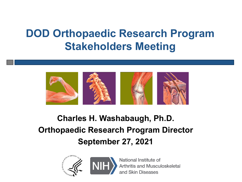# **DOD Orthopaedic Research Program Stakeholders Meeting**



#### **Charles H. Washabaugh, Ph.D. Orthopaedic Research Program Director September 27, 2021**





National Institute of **Arthritis and Musculoskeletal** and Skin Diseases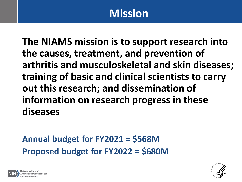## **Mission**

**The NIAMS mission is to support research into the causes, treatment, and prevention of arthritis and musculoskeletal and skin diseases; training of basic and clinical scientists to carry out this research; and dissemination of information on research progress in these diseases**

#### **Annual budget for FY2021 = \$568M Proposed budget for FY2022 = \$680M**



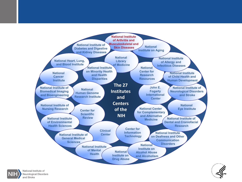





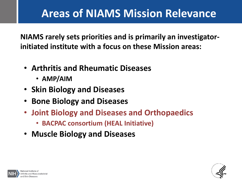## **Areas of NIAMS Mission Relevance**

**NIAMS rarely sets priorities and is primarily an investigatorinitiated institute with a focus on these Mission areas:** 

- **Arthritis and Rheumatic Diseases**
	- **AMP/AIM**
- **Skin Biology and Diseases**
- **Bone Biology and Diseases**
- **Joint Biology and Diseases and Orthopaedics**
	- **BACPAC consortium (HEAL Initiative)**
- **Muscle Biology and Diseases**



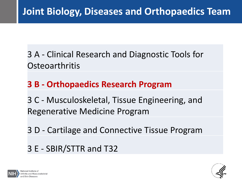3 A - Clinical Research and Diagnostic Tools for **Osteoarthritis** 

#### **3 B - Orthopaedics Research Program**

3 C - Musculoskeletal, Tissue Engineering, and Regenerative Medicine Program

3 D - Cartilage and Connective Tissue Program

3 E - SBIR/STTR and T32



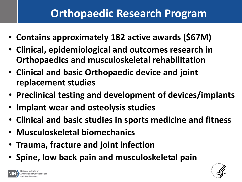### **Orthopaedic Research Program**

- **Contains approximately 182 active awards (\$67M)**
- **Clinical, epidemiological and outcomes research in Orthopaedics and musculoskeletal rehabilitation**
- **Clinical and basic Orthopaedic device and joint replacement studies**
- **Preclinical testing and development of devices/implants**
- **Implant wear and osteolysis studies**
- **Clinical and basic studies in sports medicine and fitness**
- **Musculoskeletal biomechanics**
- **Trauma, fracture and joint infection**
- **Spine, low back pain and musculoskeletal pain**



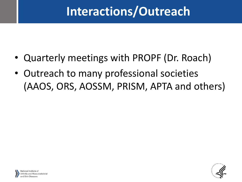# **Interactions/Outreach**

- Quarterly meetings with PROPF (Dr. Roach)
- Outreach to many professional societies (AAOS, ORS, AOSSM, PRISM, APTA and others)